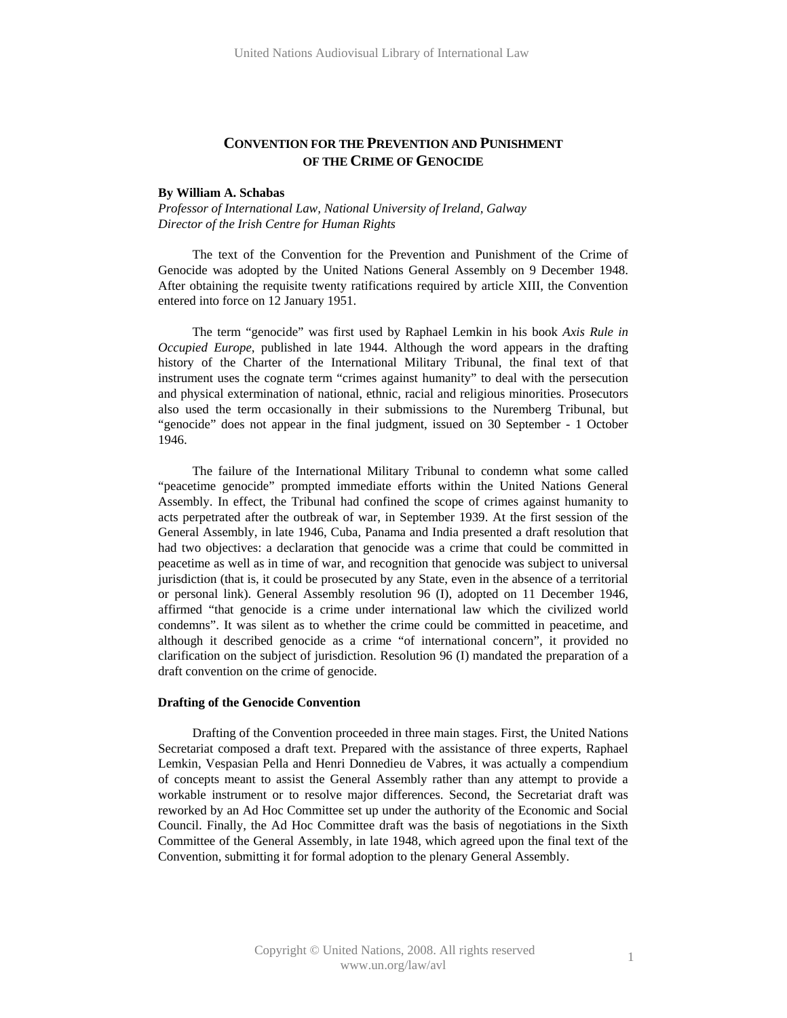# **CONVENTION FOR THE PREVENTION AND PUNISHMENT OF THE CRIME OF GENOCIDE**

### **By William A. Schabas**

*Professor of International Law, National University of Ireland, Galway Director of the Irish Centre for Human Rights* 

The text of the Convention for the Prevention and Punishment of the Crime of Genocide was adopted by the United Nations General Assembly on 9 December 1948. After obtaining the requisite twenty ratifications required by article XIII, the Convention entered into force on 12 January 1951.

The term "genocide" was first used by Raphael Lemkin in his book *Axis Rule in Occupied Europe*, published in late 1944. Although the word appears in the drafting history of the Charter of the International Military Tribunal, the final text of that instrument uses the cognate term "crimes against humanity" to deal with the persecution and physical extermination of national, ethnic, racial and religious minorities. Prosecutors also used the term occasionally in their submissions to the Nuremberg Tribunal, but "genocide" does not appear in the final judgment, issued on 30 September - 1 October 1946.

The failure of the International Military Tribunal to condemn what some called "peacetime genocide" prompted immediate efforts within the United Nations General Assembly. In effect, the Tribunal had confined the scope of crimes against humanity to acts perpetrated after the outbreak of war, in September 1939. At the first session of the General Assembly, in late 1946, Cuba, Panama and India presented a draft resolution that had two objectives: a declaration that genocide was a crime that could be committed in peacetime as well as in time of war, and recognition that genocide was subject to universal jurisdiction (that is, it could be prosecuted by any State, even in the absence of a territorial or personal link). General Assembly resolution 96 (I), adopted on 11 December 1946, affirmed "that genocide is a crime under international law which the civilized world condemns". It was silent as to whether the crime could be committed in peacetime, and although it described genocide as a crime "of international concern", it provided no clarification on the subject of jurisdiction. Resolution 96 (I) mandated the preparation of a draft convention on the crime of genocide.

## **Drafting of the Genocide Convention**

Drafting of the Convention proceeded in three main stages. First, the United Nations Secretariat composed a draft text. Prepared with the assistance of three experts, Raphael Lemkin, Vespasian Pella and Henri Donnedieu de Vabres, it was actually a compendium of concepts meant to assist the General Assembly rather than any attempt to provide a workable instrument or to resolve major differences. Second, the Secretariat draft was reworked by an Ad Hoc Committee set up under the authority of the Economic and Social Council. Finally, the Ad Hoc Committee draft was the basis of negotiations in the Sixth Committee of the General Assembly, in late 1948, which agreed upon the final text of the Convention, submitting it for formal adoption to the plenary General Assembly.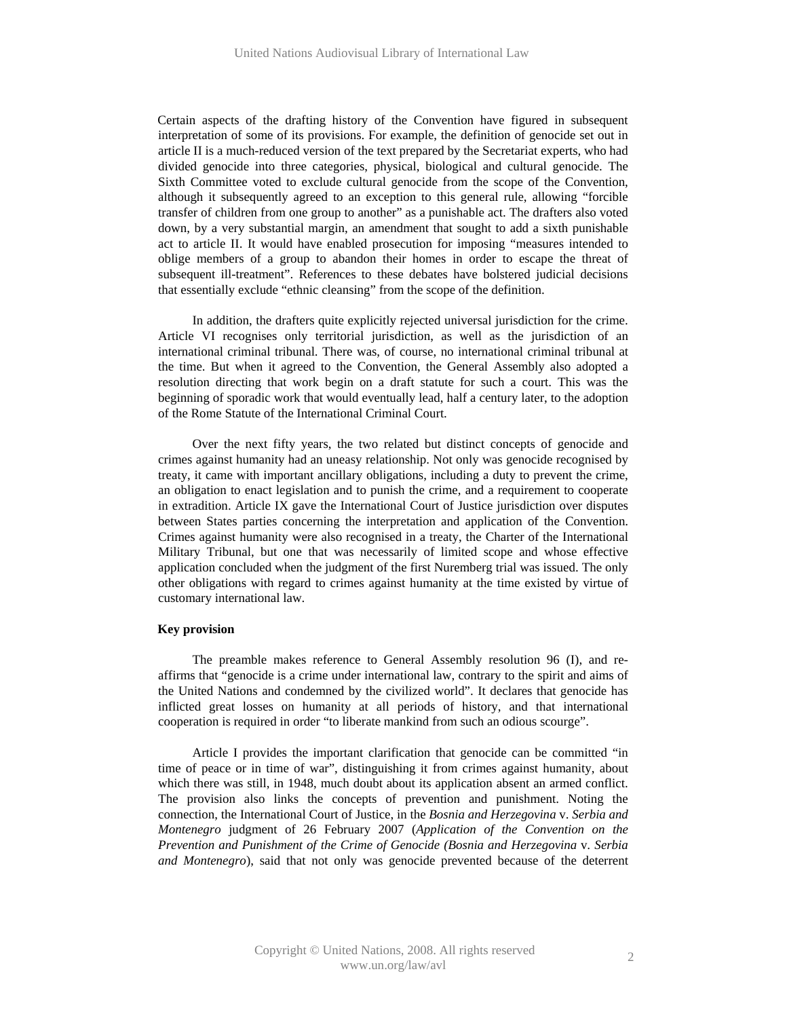Certain aspects of the drafting history of the Convention have figured in subsequent interpretation of some of its provisions. For example, the definition of genocide set out in article II is a much-reduced version of the text prepared by the Secretariat experts, who had divided genocide into three categories, physical, biological and cultural genocide. The Sixth Committee voted to exclude cultural genocide from the scope of the Convention, although it subsequently agreed to an exception to this general rule, allowing "forcible transfer of children from one group to another" as a punishable act. The drafters also voted down, by a very substantial margin, an amendment that sought to add a sixth punishable act to article II. It would have enabled prosecution for imposing "measures intended to oblige members of a group to abandon their homes in order to escape the threat of subsequent ill-treatment". References to these debates have bolstered judicial decisions that essentially exclude "ethnic cleansing" from the scope of the definition.

In addition, the drafters quite explicitly rejected universal jurisdiction for the crime. Article VI recognises only territorial jurisdiction, as well as the jurisdiction of an international criminal tribunal. There was, of course, no international criminal tribunal at the time. But when it agreed to the Convention, the General Assembly also adopted a resolution directing that work begin on a draft statute for such a court. This was the beginning of sporadic work that would eventually lead, half a century later, to the adoption of the Rome Statute of the International Criminal Court.

Over the next fifty years, the two related but distinct concepts of genocide and crimes against humanity had an uneasy relationship. Not only was genocide recognised by treaty, it came with important ancillary obligations, including a duty to prevent the crime, an obligation to enact legislation and to punish the crime, and a requirement to cooperate in extradition. Article IX gave the International Court of Justice jurisdiction over disputes between States parties concerning the interpretation and application of the Convention. Crimes against humanity were also recognised in a treaty, the Charter of the International Military Tribunal, but one that was necessarily of limited scope and whose effective application concluded when the judgment of the first Nuremberg trial was issued. The only other obligations with regard to crimes against humanity at the time existed by virtue of customary international law.

## **Key provision**

The preamble makes reference to General Assembly resolution 96 (I), and reaffirms that "genocide is a crime under international law, contrary to the spirit and aims of the United Nations and condemned by the civilized world". It declares that genocide has inflicted great losses on humanity at all periods of history, and that international cooperation is required in order "to liberate mankind from such an odious scourge".

Article I provides the important clarification that genocide can be committed "in time of peace or in time of war", distinguishing it from crimes against humanity, about which there was still, in 1948, much doubt about its application absent an armed conflict. The provision also links the concepts of prevention and punishment. Noting the connection, the International Court of Justice, in the *Bosnia and Herzegovina* v. *Serbia and Montenegro* judgment of 26 February 2007 (*Application of the Convention on the Prevention and Punishment of the Crime of Genocide (Bosnia and Herzegovina* v*. Serbia and Montenegro*), said that not only was genocide prevented because of the deterrent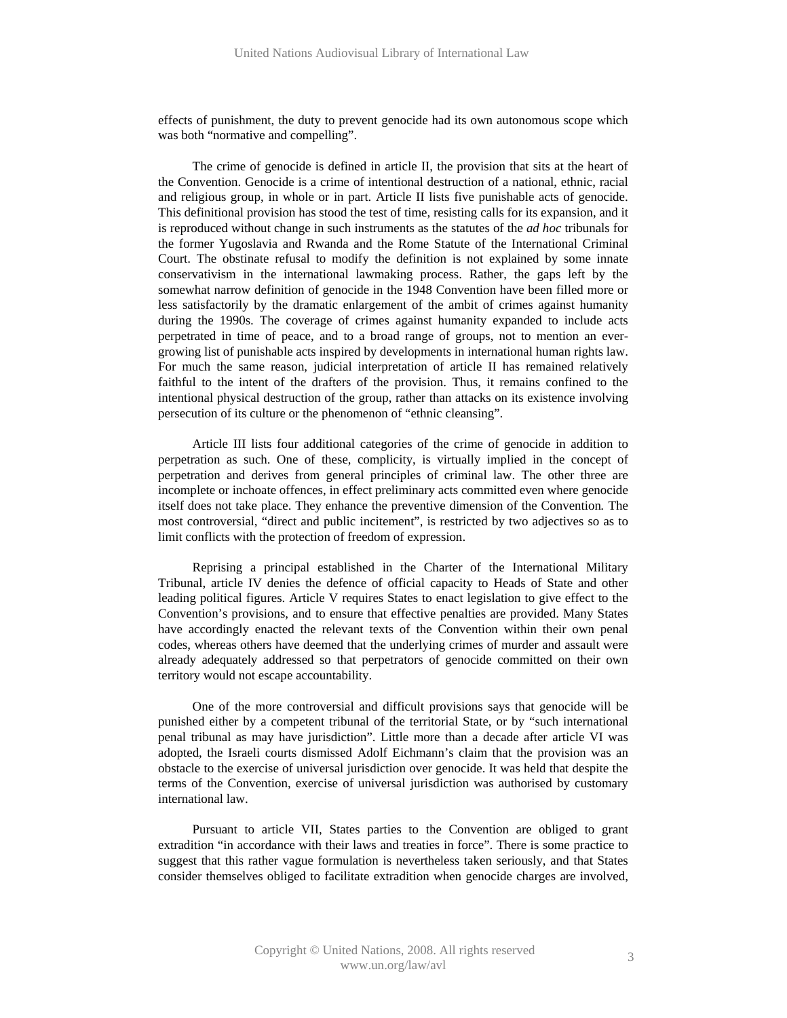effects of punishment, the duty to prevent genocide had its own autonomous scope which was both "normative and compelling".

The crime of genocide is defined in article II, the provision that sits at the heart of the Convention. Genocide is a crime of intentional destruction of a national, ethnic, racial and religious group, in whole or in part. Article II lists five punishable acts of genocide. This definitional provision has stood the test of time, resisting calls for its expansion, and it is reproduced without change in such instruments as the statutes of the *ad hoc* tribunals for the former Yugoslavia and Rwanda and the Rome Statute of the International Criminal Court. The obstinate refusal to modify the definition is not explained by some innate conservativism in the international lawmaking process. Rather, the gaps left by the somewhat narrow definition of genocide in the 1948 Convention have been filled more or less satisfactorily by the dramatic enlargement of the ambit of crimes against humanity during the 1990s. The coverage of crimes against humanity expanded to include acts perpetrated in time of peace, and to a broad range of groups, not to mention an evergrowing list of punishable acts inspired by developments in international human rights law. For much the same reason, judicial interpretation of article II has remained relatively faithful to the intent of the drafters of the provision. Thus, it remains confined to the intentional physical destruction of the group, rather than attacks on its existence involving persecution of its culture or the phenomenon of "ethnic cleansing".

Article III lists four additional categories of the crime of genocide in addition to perpetration as such. One of these, complicity, is virtually implied in the concept of perpetration and derives from general principles of criminal law. The other three are incomplete or inchoate offences, in effect preliminary acts committed even where genocide itself does not take place. They enhance the preventive dimension of the Convention*.* The most controversial, "direct and public incitement", is restricted by two adjectives so as to limit conflicts with the protection of freedom of expression.

Reprising a principal established in the Charter of the International Military Tribunal, article IV denies the defence of official capacity to Heads of State and other leading political figures. Article V requires States to enact legislation to give effect to the Convention's provisions, and to ensure that effective penalties are provided. Many States have accordingly enacted the relevant texts of the Convention within their own penal codes, whereas others have deemed that the underlying crimes of murder and assault were already adequately addressed so that perpetrators of genocide committed on their own territory would not escape accountability.

One of the more controversial and difficult provisions says that genocide will be punished either by a competent tribunal of the territorial State, or by "such international penal tribunal as may have jurisdiction". Little more than a decade after article VI was adopted, the Israeli courts dismissed Adolf Eichmann's claim that the provision was an obstacle to the exercise of universal jurisdiction over genocide. It was held that despite the terms of the Convention, exercise of universal jurisdiction was authorised by customary international law.

Pursuant to article VII, States parties to the Convention are obliged to grant extradition "in accordance with their laws and treaties in force". There is some practice to suggest that this rather vague formulation is nevertheless taken seriously, and that States consider themselves obliged to facilitate extradition when genocide charges are involved,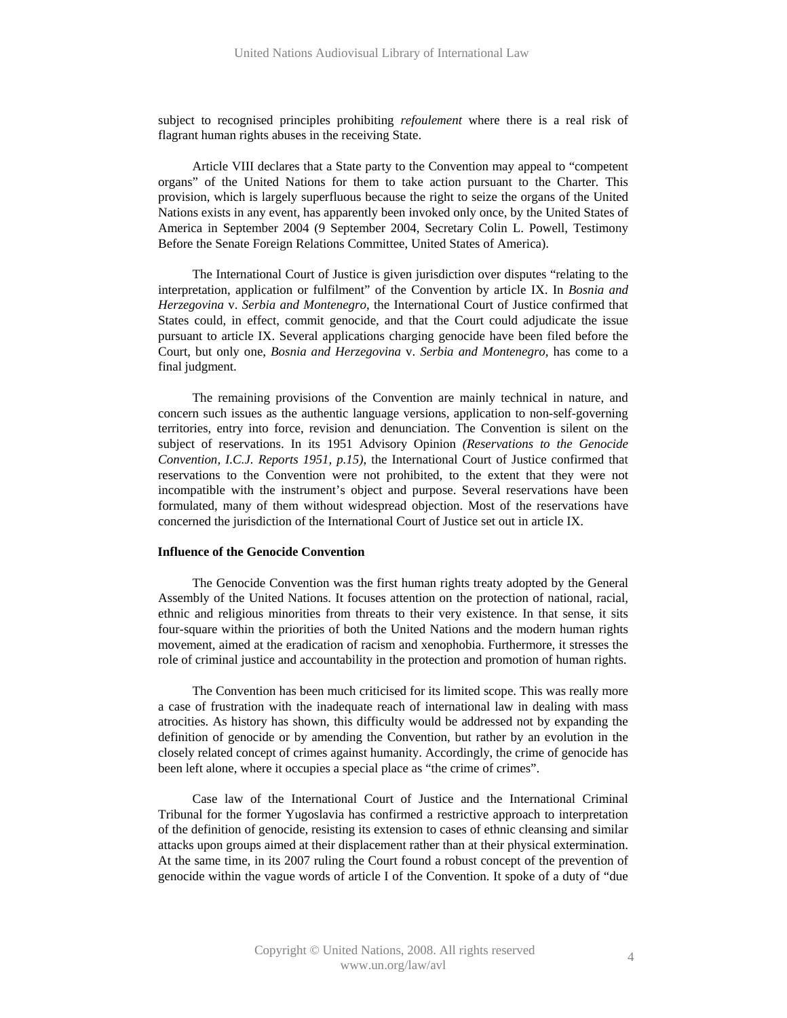subject to recognised principles prohibiting *refoulement* where there is a real risk of flagrant human rights abuses in the receiving State.

Article VIII declares that a State party to the Convention may appeal to "competent organs" of the United Nations for them to take action pursuant to the Charter*.* This provision, which is largely superfluous because the right to seize the organs of the United Nations exists in any event, has apparently been invoked only once, by the United States of America in September 2004 (9 September 2004, Secretary Colin L. Powell, Testimony Before the Senate Foreign Relations Committee, United States of America).

The International Court of Justice is given jurisdiction over disputes "relating to the interpretation, application or fulfilment" of the Convention by article IX. In *Bosnia and Herzegovina* v. *Serbia and Montenegro*, the International Court of Justice confirmed that States could, in effect, commit genocide, and that the Court could adjudicate the issue pursuant to article IX. Several applications charging genocide have been filed before the Court, but only one, *Bosnia and Herzegovina* v. *Serbia and Montenegro*, has come to a final judgment.

The remaining provisions of the Convention are mainly technical in nature, and concern such issues as the authentic language versions, application to non-self-governing territories, entry into force, revision and denunciation. The Convention is silent on the subject of reservations. In its 1951 Advisory Opinion *(Reservations to the Genocide Convention, I.C.J. Reports 1951, p.15)*, the International Court of Justice confirmed that reservations to the Convention were not prohibited, to the extent that they were not incompatible with the instrument's object and purpose. Several reservations have been formulated, many of them without widespread objection. Most of the reservations have concerned the jurisdiction of the International Court of Justice set out in article IX.

## **Influence of the Genocide Convention**

The Genocide Convention was the first human rights treaty adopted by the General Assembly of the United Nations. It focuses attention on the protection of national, racial, ethnic and religious minorities from threats to their very existence. In that sense, it sits four-square within the priorities of both the United Nations and the modern human rights movement, aimed at the eradication of racism and xenophobia. Furthermore, it stresses the role of criminal justice and accountability in the protection and promotion of human rights.

The Convention has been much criticised for its limited scope. This was really more a case of frustration with the inadequate reach of international law in dealing with mass atrocities. As history has shown, this difficulty would be addressed not by expanding the definition of genocide or by amending the Convention, but rather by an evolution in the closely related concept of crimes against humanity. Accordingly, the crime of genocide has been left alone, where it occupies a special place as "the crime of crimes".

Case law of the International Court of Justice and the International Criminal Tribunal for the former Yugoslavia has confirmed a restrictive approach to interpretation of the definition of genocide, resisting its extension to cases of ethnic cleansing and similar attacks upon groups aimed at their displacement rather than at their physical extermination. At the same time, in its 2007 ruling the Court found a robust concept of the prevention of genocide within the vague words of article I of the Convention. It spoke of a duty of "due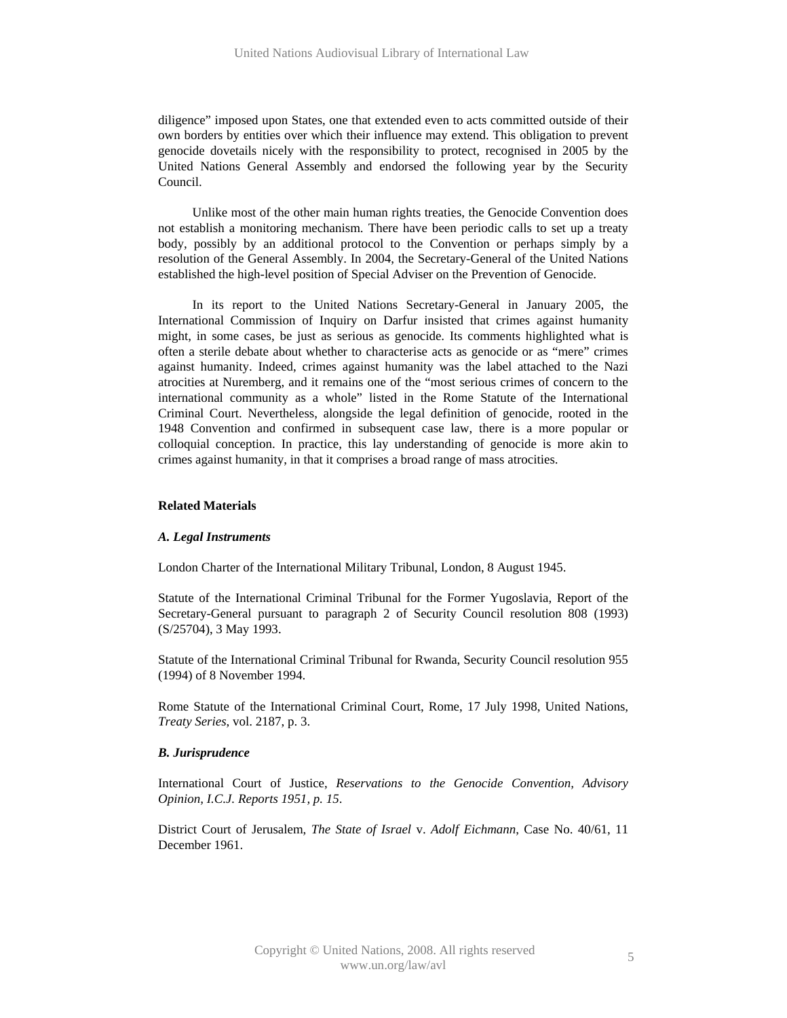diligence" imposed upon States, one that extended even to acts committed outside of their own borders by entities over which their influence may extend. This obligation to prevent genocide dovetails nicely with the responsibility to protect, recognised in 2005 by the United Nations General Assembly and endorsed the following year by the Security Council.

Unlike most of the other main human rights treaties, the Genocide Convention does not establish a monitoring mechanism. There have been periodic calls to set up a treaty body, possibly by an additional protocol to the Convention or perhaps simply by a resolution of the General Assembly. In 2004, the Secretary-General of the United Nations established the high-level position of Special Adviser on the Prevention of Genocide.

In its report to the United Nations Secretary-General in January 2005, the International Commission of Inquiry on Darfur insisted that crimes against humanity might, in some cases, be just as serious as genocide. Its comments highlighted what is often a sterile debate about whether to characterise acts as genocide or as "mere" crimes against humanity. Indeed, crimes against humanity was the label attached to the Nazi atrocities at Nuremberg, and it remains one of the "most serious crimes of concern to the international community as a whole" listed in the Rome Statute of the International Criminal Court. Nevertheless, alongside the legal definition of genocide, rooted in the 1948 Convention and confirmed in subsequent case law, there is a more popular or colloquial conception. In practice, this lay understanding of genocide is more akin to crimes against humanity, in that it comprises a broad range of mass atrocities.

## **Related Materials**

## *A. Legal Instruments*

London Charter of the International Military Tribunal, London, 8 August 1945.

Statute of the International Criminal Tribunal for the Former Yugoslavia, Report of the Secretary-General pursuant to paragraph 2 of Security Council resolution 808 (1993) (S/25704), 3 May 1993.

Statute of the International Criminal Tribunal for Rwanda, Security Council resolution 955 (1994) of 8 November 1994.

Rome Statute of the International Criminal Court, Rome, 17 July 1998, United Nations, *Treaty Series*, vol. 2187, p. 3.

### *B. Jurisprudence*

International Court of Justice, *Reservations to the Genocide Convention, Advisory Opinion, I.C.J. Reports 1951, p. 15*.

District Court of Jerusalem, *The State of Israel* v. *Adolf Eichmann*, Case No. 40/61, 11 December 1961.